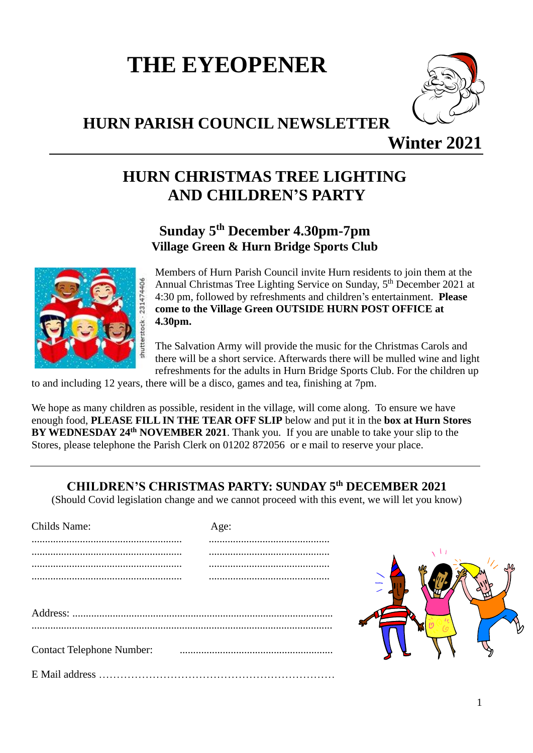# **THE EYEOPENER**

### **HURN PARISH COUNCIL NEWSLETTER**



**Winter 2021**

## **HURN CHRISTMAS TREE LIGHTING AND CHILDREN'S PARTY**

#### **Sunday 5 th December 4.30pm-7pm Village Green & Hurn Bridge Sports Club**



Members of Hurn Parish Council invite Hurn residents to join them at the Annual Christmas Tree Lighting Service on Sunday, 5<sup>th</sup> December 2021 at 4:30 pm, followed by refreshments and children's entertainment. **Please come to the Village Green OUTSIDE HURN POST OFFICE at 4.30pm.**

The Salvation Army will provide the music for the Christmas Carols and there will be a short service. Afterwards there will be mulled wine and light refreshments for the adults in Hurn Bridge Sports Club. For the children up

to and including 12 years, there will be a disco, games and tea, finishing at 7pm.

We hope as many children as possible, resident in the village, will come along. To ensure we have enough food, **PLEASE FILL IN THE TEAR OFF SLIP** below and put it in the **box at Hurn Stores BY WEDNESDAY 24<sup>th</sup> NOVEMBER 2021.** Thank you. If you are unable to take your slip to the Stores, please telephone the Parish Clerk on 01202 872056 or e mail to reserve your place.

#### **CHILDREN'S CHRISTMAS PARTY: SUNDAY 5 th DECEMBER 2021**

(Should Covid legislation change and we cannot proceed with this event, we will let you know)

| Childs Name:                     | Age: |
|----------------------------------|------|
|                                  |      |
|                                  |      |
|                                  |      |
|                                  |      |
|                                  |      |
|                                  |      |
|                                  |      |
|                                  |      |
| <b>Contact Telephone Number:</b> |      |
|                                  |      |
|                                  |      |